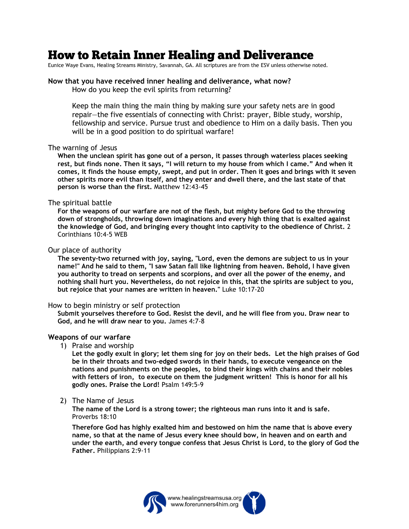# **How to Retain Inner Healing and Deliverance**

Eunice Waye Evans, Healing Streams Ministry, Savannah, GA. All scriptures are from the ESV unless otherwise noted.

#### **Now that you have received inner healing and deliverance, what now?** How do you keep the evil spirits from returning?

Keep the main thing the main thing by making sure your safety nets are in good repair—the five essentials of connecting with Christ: prayer, Bible study, worship, fellowship and service. Pursue trust and obedience to Him on a daily basis. Then you will be in a good position to do spiritual warfare!

#### The warning of Jesus

**When the unclean spirit has gone out of a person, it passes through waterless places seeking rest, but finds none. Then it says, "I will return to my house from which I came." And when it comes, it finds the house empty, swept, and put in order. Then it goes and brings with it seven other spirits more evil than itself, and they enter and dwell there, and the last state of that person is worse than the first.** Matthew 12:43-45

## The spiritual battle

**For the weapons of our warfare are not of the flesh, but mighty before God to the throwing down of strongholds, throwing down imaginations and every high thing that is exalted against the knowledge of God, and bringing every thought into captivity to the obedience of Christ.** 2 Corinthians 10:4-5 WEB

## Our place of authority

**The seventy-two returned with joy, saying, "Lord, even the demons are subject to us in your name!" And he said to them, "I saw Satan fall like lightning from heaven. Behold, I have given you authority to tread on serpents and scorpions, and over all the power of the enemy, and nothing shall hurt you. Nevertheless, do not rejoice in this, that the spirits are subject to you, but rejoice that your names are written in heaven."** Luke 10:17-20

## How to begin ministry or self protection

**Submit yourselves therefore to God. Resist the devil, and he will flee from you. Draw near to God, and he will draw near to you.** James 4:7-8

## **Weapons of our warfare**

1) Praise and worship

**Let the godly exult in glory; let them sing for joy on their beds. Let the high praises of God be in their throats and two-edged swords in their hands, to execute vengeance on the nations and punishments on the peoples, to bind their kings with chains and their nobles with fetters of iron, to execute on them the judgment written! This is honor for all his godly ones. Praise the Lord!** Psalm 149:5-9

2) The Name of Jesus

 **The name of the Lord is a strong tower; the righteous man runs into it and is safe.** Proverbs 18:10

**Therefore God has highly exalted him and bestowed on him the name that is above every name, so that at the name of Jesus every knee should bow, in heaven and on earth and under the earth, and every tongue confess that Jesus Christ is Lord, to the glory of God the Father.** Philippians 2:9-11